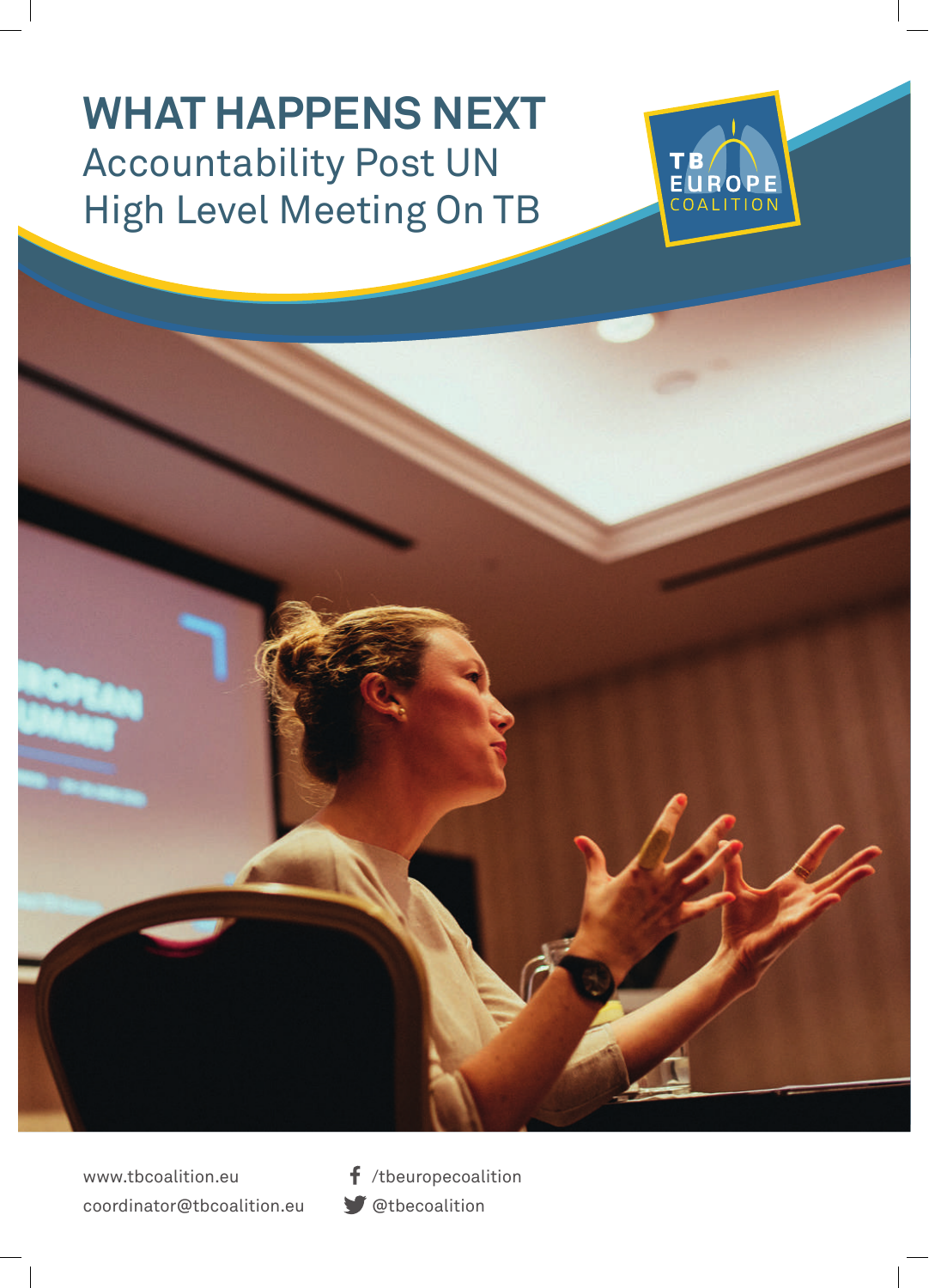# **WHAT HAPPENS NEXT**  Accountability Post UN High Level Meeting On TB



www.tbcoalition.eu coordinator@tbcoalition.eu

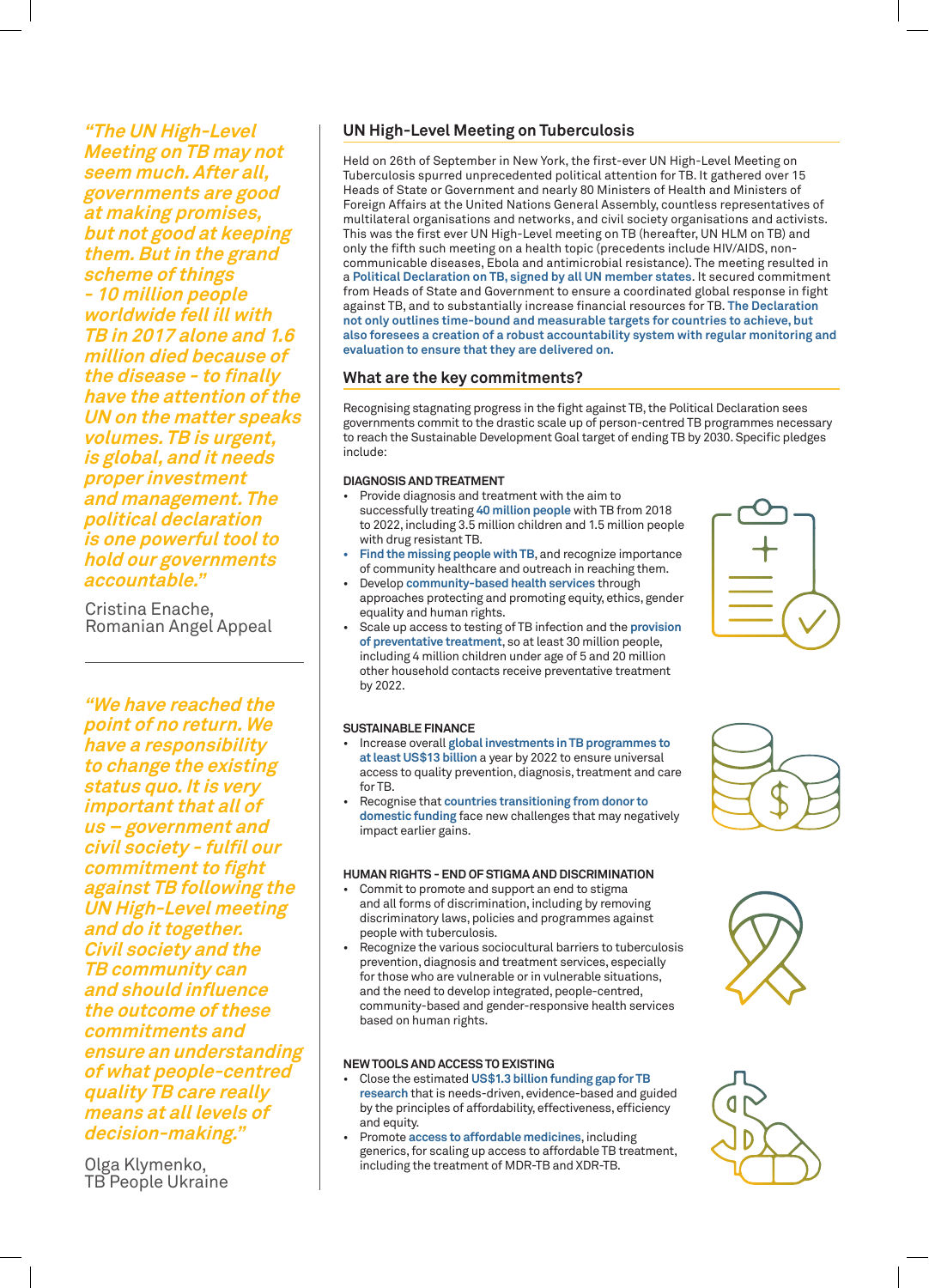**"The UN High-Level Meeting on TB may not seem much. After all, governments are good at making promises, but not good at keeping them. But in the grand scheme of things - 10 million people worldwide fell ill with TB in 2017 alone and 1.6 million died because of the disease - to finally have the attention of the UN on the matter speaks volumes. TB is urgent, is global, and it needs proper investment and management. The political declaration is one powerful tool to hold our governments accountable."**

Cristina Enache, Romanian Angel Appeal

**"We have reached the point of no return. We have a responsibility to change the existing status quo. It is very important that all of us – government and civil society - fulfil our commitment to fight against TB following the UN High-Level meeting and do it together. Civil society and the TB community can and should influence the outcome of these commitments and ensure an understanding of what people-centred quality TB care really means at all levels of decision-making."**

Olga Klymenko, TB People Ukraine

# **UN High-Level Meeting on Tuberculosis**

Held on 26th of September in New York, the first-ever UN High-Level Meeting on Tuberculosis spurred unprecedented political attention for TB. It gathered over 15 Heads of State or Government and nearly 80 Ministers of Health and Ministers of Foreign Affairs at the United Nations General Assembly, countless representatives of multilateral organisations and networks, and civil society organisations and activists. This was the first ever UN High-Level meeting on TB (hereafter, UN HLM on TB) and only the fifth such meeting on a health topic (precedents include HIV/AIDS, noncommunicable diseases, Ebola and antimicrobial resistance). The meeting resulted in a **Political Declaration on TB, signed by all UN member states**. It secured commitment from Heads of State and Government to ensure a coordinated global response in fight against TB, and to substantially increase financial resources for TB. **The Declaration not only outlines time-bound and measurable targets for countries to achieve, but also foresees a creation of a robust accountability system with regular monitoring and evaluation to ensure that they are delivered on.**

## **What are the key commitments?**

Recognising stagnating progress in the fight against TB, the Political Declaration sees governments commit to the drastic scale up of person-centred TB programmes necessary to reach the Sustainable Development Goal target of ending TB by 2030. Specific pledges include:

## **DIAGNOSIS AND TREATMENT**

- Provide diagnosis and treatment with the aim to successfully treating **40 million people** with TB from 2018 to 2022, including 3.5 million children and 1.5 million people with drug resistant TB.
- **• Find the missing people with TB**, and recognize importance of community healthcare and outreach in reaching them.
- Develop **community-based health services** through approaches protecting and promoting equity, ethics, gender equality and human rights.
- Scale up access to testing of TB infection and the **provision of preventative treatment**, so at least 30 million people, including 4 million children under age of 5 and 20 million other household contacts receive preventative treatment by 2022.

#### **SUSTAINABLE FINANCE**

- Increase overall **global investments in TB programmes to at least US\$13 billion** a year by 2022 to ensure universal access to quality prevention, diagnosis, treatment and care for TB.
- Recognise that **countries transitioning from donor to domestic funding** face new challenges that may negatively impact earlier gains.

## **HUMAN RIGHTS - END OF STIGMA AND DISCRIMINATION**

- Commit to promote and support an end to stigma and all forms of discrimination, including by removing discriminatory laws, policies and programmes against people with tuberculosis.
- Recognize the various sociocultural barriers to tuberculosis prevention, diagnosis and treatment services, especially for those who are vulnerable or in vulnerable situations, and the need to develop integrated, people-centred, community-based and gender-responsive health services based on human rights.

#### **NEW TOOLS AND ACCESS TO EXISTING**

- Close the estimated **US\$1.3 billion funding gap for TB research** that is needs-driven, evidence-based and guided by the principles of affordability, effectiveness, efficiency and equity.
- Promote **access to affordable medicines**, including generics, for scaling up access to affordable TB treatment, including the treatment of MDR-TB and XDR-TB.







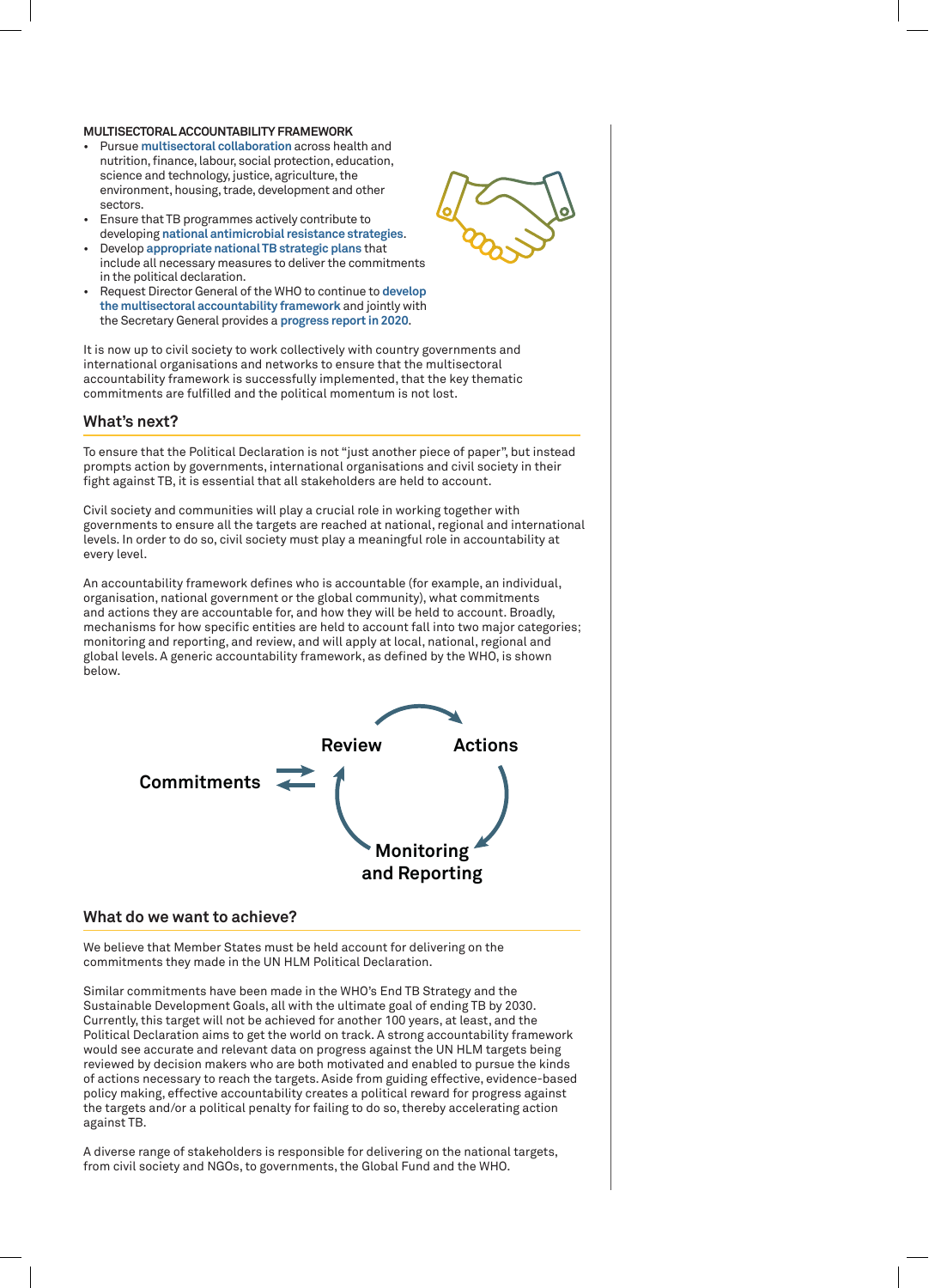#### **MULTISECTORAL ACCOUNTABILITY FRAMEWORK**

- Pursue **multisectoral collaboration** across health and nutrition, finance, labour, social protection, education, science and technology, justice, agriculture, the environment, housing, trade, development and other sectors.
- Ensure that TB programmes actively contribute to developing **national antimicrobial resistance strategies**.
- Develop **appropriate national TB strategic plans** that include all necessary measures to deliver the commitments in the political declaration.
- Request Director General of the WHO to continue to **develop the multisectoral accountability framework** and jointly with the Secretary General provides a **progress report in 2020**.

It is now up to civil society to work collectively with country governments and international organisations and networks to ensure that the multisectoral accountability framework is successfully implemented, that the key thematic commitments are fulfilled and the political momentum is not lost.

## **What's next?**

To ensure that the Political Declaration is not "just another piece of paper", but instead prompts action by governments, international organisations and civil society in their fight against TB, it is essential that all stakeholders are held to account.

Civil society and communities will play a crucial role in working together with governments to ensure all the targets are reached at national, regional and international levels. In order to do so, civil society must play a meaningful role in accountability at every level.

An accountability framework defines who is accountable (for example, an individual, organisation, national government or the global community), what commitments and actions they are accountable for, and how they will be held to account. Broadly, mechanisms for how specific entities are held to account fall into two major categories; monitoring and reporting, and review, and will apply at local, national, regional and global levels. A generic accountability framework, as defined by the WHO, is shown below.



## **What do we want to achieve?**

We believe that Member States must be held account for delivering on the commitments they made in the UN HLM Political Declaration.

Similar commitments have been made in the WHO's End TB Strategy and the Sustainable Development Goals, all with the ultimate goal of ending TB by 2030. Currently, this target will not be achieved for another 100 years, at least, and the Political Declaration aims to get the world on track. A strong accountability framework would see accurate and relevant data on progress against the UN HLM targets being reviewed by decision makers who are both motivated and enabled to pursue the kinds of actions necessary to reach the targets. Aside from guiding effective, evidence-based policy making, effective accountability creates a political reward for progress against the targets and/or a political penalty for failing to do so, thereby accelerating action against TB.

A diverse range of stakeholders is responsible for delivering on the national targets, from civil society and NGOs, to governments, the Global Fund and the WHO.

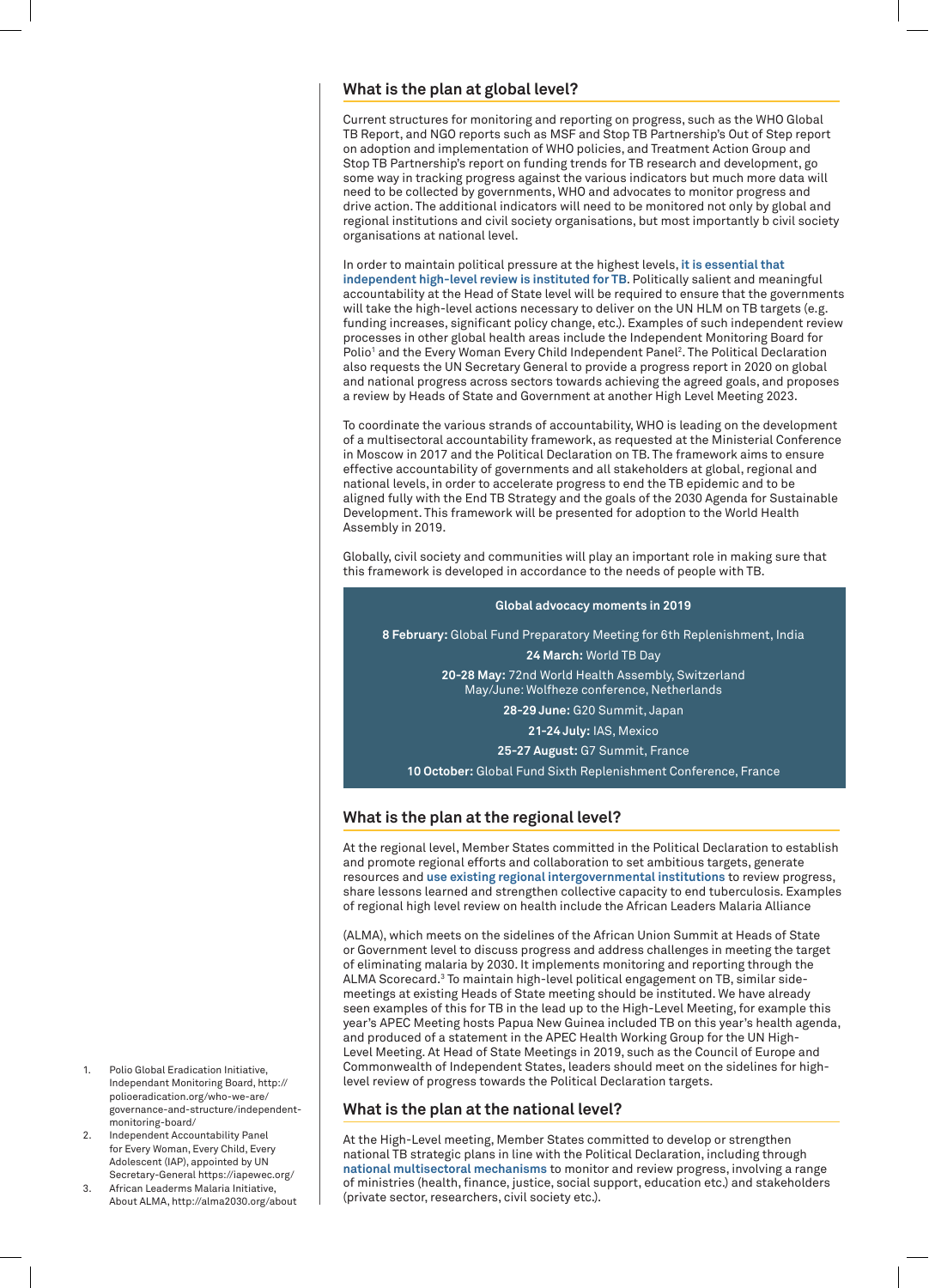## **What is the plan at global level?**

Current structures for monitoring and reporting on progress, such as the WHO Global TB Report, and NGO reports such as MSF and Stop TB Partnership's Out of Step report on adoption and implementation of WHO policies, and Treatment Action Group and Stop TB Partnership's report on funding trends for TB research and development, go some way in tracking progress against the various indicators but much more data will need to be collected by governments, WHO and advocates to monitor progress and drive action. The additional indicators will need to be monitored not only by global and regional institutions and civil society organisations, but most importantly b civil society organisations at national level.

In order to maintain political pressure at the highest levels, **it is essential that independent high-level review is instituted for TB**. Politically salient and meaningful accountability at the Head of State level will be required to ensure that the governments will take the high-level actions necessary to deliver on the UN HLM on TB targets (e.g. funding increases, significant policy change, etc.). Examples of such independent review processes in other global health areas include the Independent Monitoring Board for Polio<sup>1</sup> and the Every Woman Every Child Independent Panel<sup>2</sup>. The Political Declaration also requests the UN Secretary General to provide a progress report in 2020 on global and national progress across sectors towards achieving the agreed goals, and proposes a review by Heads of State and Government at another High Level Meeting 2023.

To coordinate the various strands of accountability, WHO is leading on the development of a multisectoral accountability framework, as requested at the Ministerial Conference in Moscow in 2017 and the Political Declaration on TB. The framework aims to ensure effective accountability of governments and all stakeholders at global, regional and national levels, in order to accelerate progress to end the TB epidemic and to be aligned fully with the End TB Strategy and the goals of the 2030 Agenda for Sustainable Development. This framework will be presented for adoption to the World Health Assembly in 2019.

Globally, civil society and communities will play an important role in making sure that this framework is developed in accordance to the needs of people with TB.



# **What is the plan at the regional level?**

At the regional level, Member States committed in the Political Declaration to establish and promote regional efforts and collaboration to set ambitious targets, generate resources and **use existing regional intergovernmental institutions** to review progress, share lessons learned and strengthen collective capacity to end tuberculosis. Examples of regional high level review on health include the African Leaders Malaria Alliance

(ALMA), which meets on the sidelines of the African Union Summit at Heads of State or Government level to discuss progress and address challenges in meeting the target of eliminating malaria by 2030. It implements monitoring and reporting through the ALMA Scorecard.<sup>3</sup> To maintain high-level political engagement on TB, similar sidemeetings at existing Heads of State meeting should be instituted. We have already seen examples of this for TB in the lead up to the High-Level Meeting, for example this year's APEC Meeting hosts Papua New Guinea included TB on this year's health agenda, and produced of a statement in the APEC Health Working Group for the UN High-Level Meeting. At Head of State Meetings in 2019, such as the Council of Europe and Commonwealth of Independent States, leaders should meet on the sidelines for highlevel review of progress towards the Political Declaration targets.

# **What is the plan at the national level?**

At the High-Level meeting, Member States committed to develop or strengthen national TB strategic plans in line with the Political Declaration, including through **national multisectoral mechanisms** to monitor and review progress, involving a range of ministries (health, finance, justice, social support, education etc.) and stakeholders (private sector, researchers, civil society etc.).

- Polio Global Eradication Initiative, Independant Monitoring Board, http:// polioeradication.org/who-we-are/ governance-and-structure/independentmonitoring-board/
- 2. Independent Accountability Panel for Every Woman, Every Child, Every Adolescent (IAP), appointed by UN Secretary-General https://iapewec.org/
- 3. African Leaderms Malaria Initiative, About ALMA, http://alma2030.org/about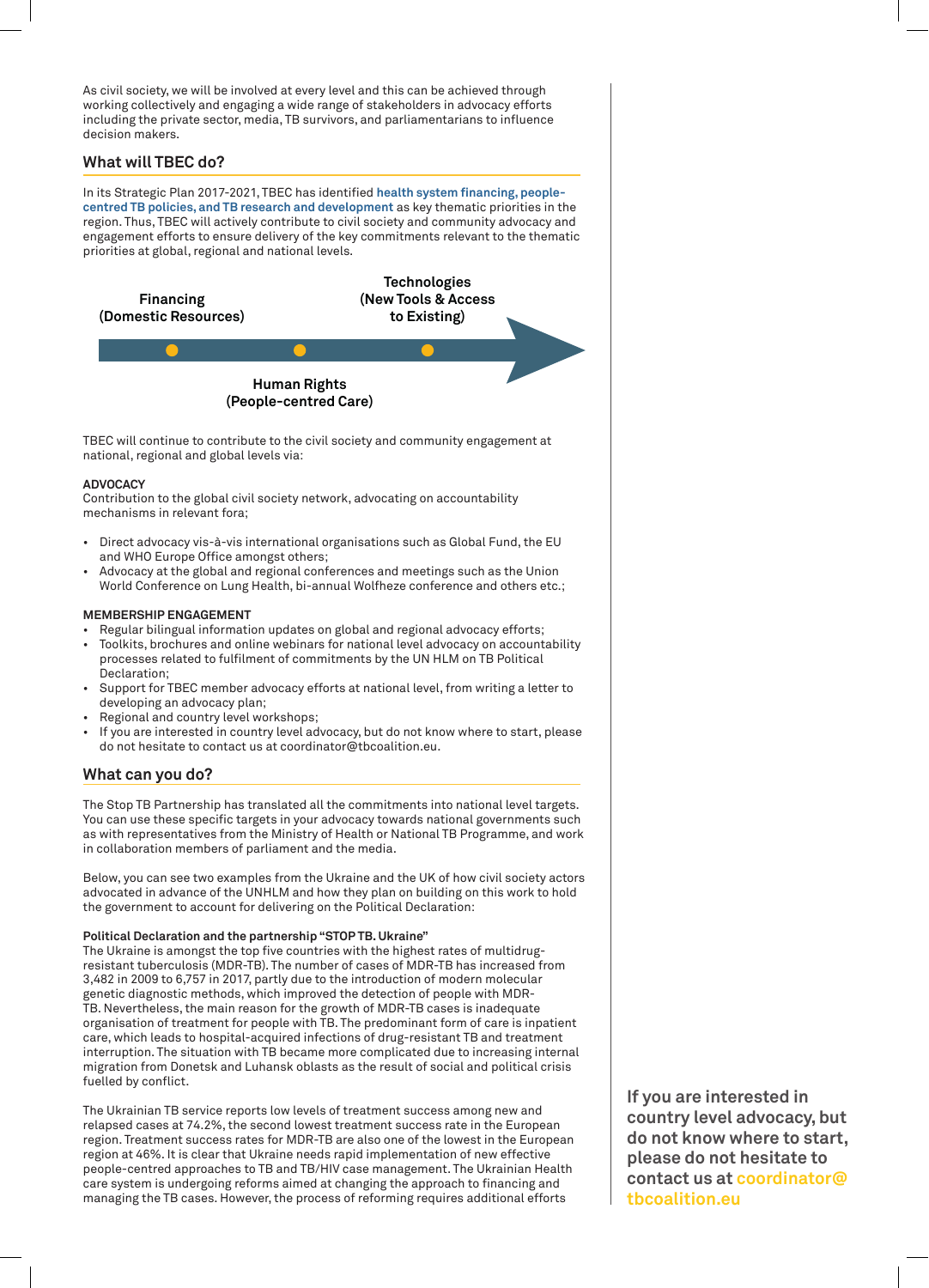As civil society, we will be involved at every level and this can be achieved through working collectively and engaging a wide range of stakeholders in advocacy efforts including the private sector, media, TB survivors, and parliamentarians to influence decision makers.

# **What will TBEC do?**

In its Strategic Plan 2017-2021, TBEC has identified **health system financing, peoplecentred TB policies, and TB research and development** as key thematic priorities in the region. Thus, TBEC will actively contribute to civil society and community advocacy and engagement efforts to ensure delivery of the key commitments relevant to the thematic priorities at global, regional and national levels.



## **ADVOCACY**

Contribution to the global civil society network, advocating on accountability mechanisms in relevant fora;

- Direct advocacy vis-à-vis international organisations such as Global Fund, the EU and WHO Europe Office amongst others;
- Advocacy at the global and regional conferences and meetings such as the Union World Conference on Lung Health, bi-annual Wolfheze conference and others etc.;

## **MEMBERSHIP ENGAGEMENT**

- Regular bilingual information updates on global and regional advocacy efforts;
- Toolkits, brochures and online webinars for national level advocacy on accountability processes related to fulfilment of commitments by the UN HLM on TB Political Declaration;
- Support for TBEC member advocacy efforts at national level, from writing a letter to developing an advocacy plan;
- Regional and country level workshops;
- If you are interested in country level advocacy, but do not know where to start, please do not hesitate to contact us at coordinator@tbcoalition.eu.

## **What can you do?**

The Stop TB Partnership has translated all the commitments into national level targets. You can use these specific targets in your advocacy towards national governments such as with representatives from the Ministry of Health or National TB Programme, and work in collaboration members of parliament and the media.

Below, you can see two examples from the Ukraine and the UK of how civil society actors advocated in advance of the UNHLM and how they plan on building on this work to hold the government to account for delivering on the Political Declaration:

## **Political Declaration and the partnership "STOP TB. Ukraine"**

The Ukraine is amongst the top five countries with the highest rates of multidrugresistant tuberculosis (MDR-TB). The number of cases of MDR-TB has increased from 3,482 in 2009 to 6,757 in 2017, partly due to the introduction of modern molecular genetic diagnostic methods, which improved the detection of people with MDR-TB. Nevertheless, the main reason for the growth of MDR-TB cases is inadequate organisation of treatment for people with TB. The predominant form of care is inpatient care, which leads to hospital-acquired infections of drug-resistant TB and treatment interruption. The situation with TB became more complicated due to increasing internal migration from Donetsk and Luhansk oblasts as the result of social and political crisis fuelled by conflict.

The Ukrainian TB service reports low levels of treatment success among new and relapsed cases at 74.2%, the second lowest treatment success rate in the European region. Treatment success rates for MDR-TB are also one of the lowest in the European region at 46%. It is clear that Ukraine needs rapid implementation of new effective people-centred approaches to TB and TB/HIV case management. The Ukrainian Health care system is undergoing reforms aimed at changing the approach to financing and managing the TB cases. However, the process of reforming requires additional efforts

**If you are interested in country level advocacy, but do not know where to start, please do not hesitate to contact us at coordinator@ tbcoalition.eu**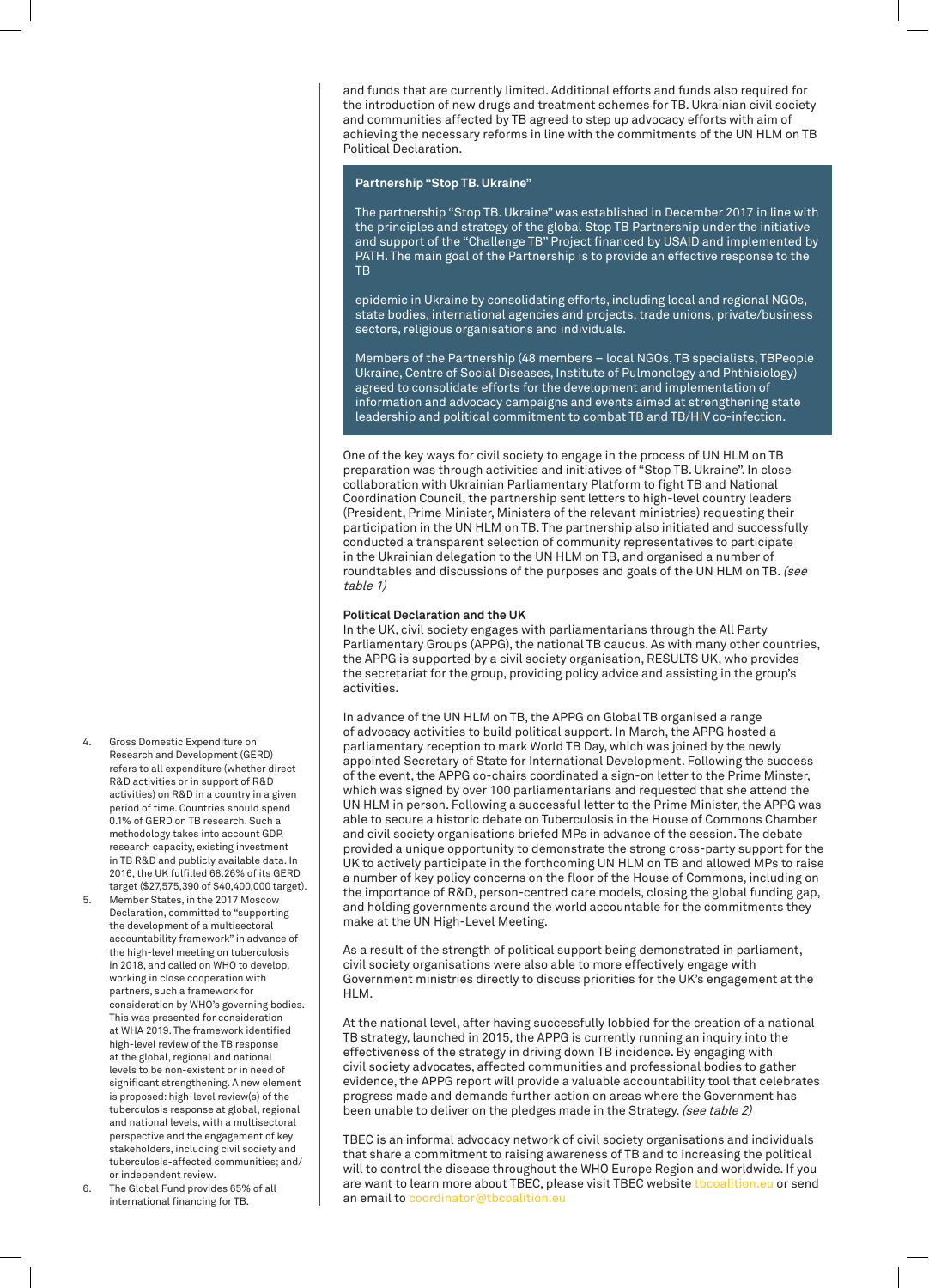and funds that are currently limited. Additional efforts and funds also required for the introduction of new drugs and treatment schemes for TB. Ukrainian civil society and communities affected by TB agreed to step up advocacy efforts with aim of achieving the necessary reforms in line with the commitments of the UN HLM on TB Political Declaration.

## **Partnership "Stop TB. Ukraine"**

The partnership "Stop TB. Ukraine" was established in December 2017 in line with the principles and strategy of the global Stop TB Partnership under the initiative and support of the "Challenge TB" Project financed by USAID and implemented by PATH. The main goal of the Partnership is to provide an effective response to the **TR** 

epidemic in Ukraine by consolidating efforts, including local and regional NGOs, state bodies, international agencies and projects, trade unions, private/business sectors, religious organisations and individuals.

Members of the Partnership (48 members – local NGOs, TB specialists, TBPeople Ukraine, Centre of Social Diseases, Institute of Pulmonology and Phthisiology) agreed to consolidate efforts for the development and implementation of information and advocacy campaigns and events aimed at strengthening state leadership and political commitment to combat TB and TB/HIV co-infection.

One of the key ways for civil society to engage in the process of UN HLM on TB preparation was through activities and initiatives of "Stop TB. Ukraine". In close collaboration with Ukrainian Parliamentary Platform to fight TB and National Coordination Council, the partnership sent letters to high-level country leaders (President, Prime Minister, Ministers of the relevant ministries) requesting their participation in the UN HLM on TB. The partnership also initiated and successfully conducted a transparent selection of community representatives to participate in the Ukrainian delegation to the UN HLM on TB, and organised a number of roundtables and discussions of the purposes and goals of the UN HLM on TB. (see table 1)

#### **Political Declaration and the UK**

In the UK, civil society engages with parliamentarians through the All Party Parliamentary Groups (APPG), the national TB caucus. As with many other countries, the APPG is supported by a civil society organisation, RESULTS UK, who provides the secretariat for the group, providing policy advice and assisting in the group's activities.

In advance of the UN HLM on TB, the APPG on Global TB organised a range of advocacy activities to build political support. In March, the APPG hosted a parliamentary reception to mark World TB Day, which was joined by the newly appointed Secretary of State for International Development. Following the success of the event, the APPG co-chairs coordinated a sign-on letter to the Prime Minster, which was signed by over 100 parliamentarians and requested that she attend the UN HLM in person. Following a successful letter to the Prime Minister, the APPG was able to secure a historic debate on Tuberculosis in the House of Commons Chamber and civil society organisations briefed MPs in advance of the session. The debate provided a unique opportunity to demonstrate the strong cross-party support for the UK to actively participate in the forthcoming UN HLM on TB and allowed MPs to raise a number of key policy concerns on the floor of the House of Commons, including on the importance of R&D, person-centred care models, closing the global funding gap, and holding governments around the world accountable for the commitments they make at the UN High-Level Meeting.

As a result of the strength of political support being demonstrated in parliament, civil society organisations were also able to more effectively engage with Government ministries directly to discuss priorities for the UK's engagement at the HLM.

At the national level, after having successfully lobbied for the creation of a national TB strategy, launched in 2015, the APPG is currently running an inquiry into the effectiveness of the strategy in driving down TB incidence. By engaging with civil society advocates, affected communities and professional bodies to gather evidence, the APPG report will provide a valuable accountability tool that celebrates progress made and demands further action on areas where the Government has been unable to deliver on the pledges made in the Strategy. (see table 2)

TBEC is an informal advocacy network of civil society organisations and individuals that share a commitment to raising awareness of TB and to increasing the political will to control the disease throughout the WHO Europe Region and worldwide. If you are want to learn more about TBEC, please visit TBEC website tbcoalition.eu or send an email to coordinator@tbcoalition.eu

- 4. Gross Domestic Expenditure on Research and Development (GERD) refers to all expenditure (whether direct R&D activities or in support of R&D activities) on R&D in a country in a given period of time. Countries should spend 0.1% of GERD on TB research. Such a methodology takes into account GDP, research capacity, existing investment in TB R&D and publicly available data. In 2016, the UK fulfilled 68.26% of its GERD target (\$27,575,390 of \$40,400,000 target).
- 5. Member States, in the 2017 Moscow Declaration, committed to "supporting the development of a multisectoral accountability framework" in advance of the high-level meeting on tuberculosis in 2018, and called on WHO to develop, working in close cooperation with partners, such a framework for consideration by WHO's governing bodies. This was presented for consideration at WHA 2019. The framework identified high-level review of the TB response at the global, regional and national levels to be non-existent or in need of significant strengthening. A new element is proposed: high-level review(s) of the tuberculosis response at global, regional and national levels, with a multisectoral perspective and the engagement of key stakeholders, including civil society and tuberculosis-affected communities; and/ or independent review.
- 6. The Global Fund provides 65% of all international financing for TB.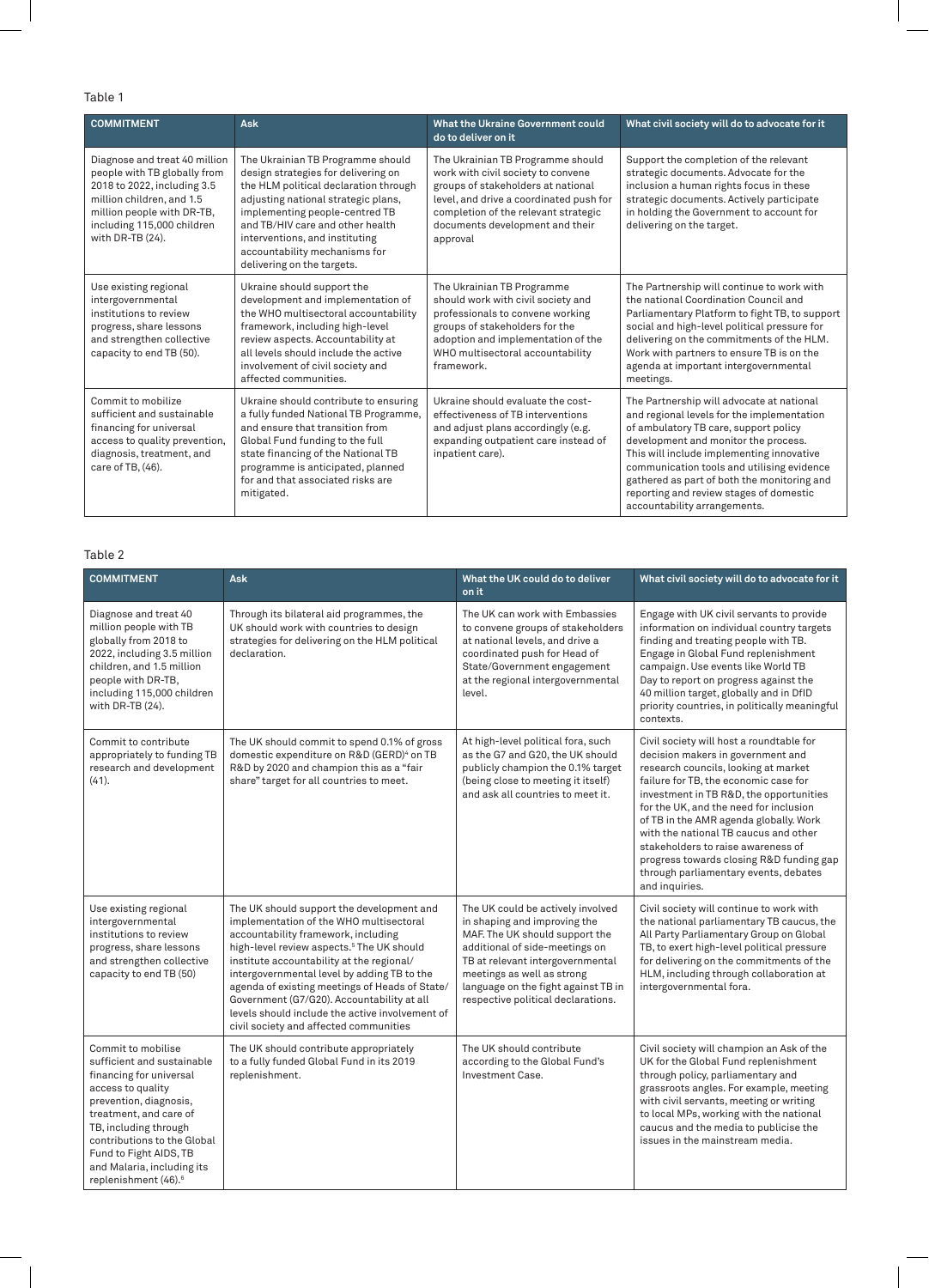## Table 1

| <b>COMMITMENT</b>                                                                                                                                                                                         | <b>Ask</b>                                                                                                                                                                                                                                                                                                                      | What the Ukraine Government could<br>do to deliver on it                                                                                                                                                                                        | What civil society will do to advocate for it                                                                                                                                                                                                                                                                                                                                                 |
|-----------------------------------------------------------------------------------------------------------------------------------------------------------------------------------------------------------|---------------------------------------------------------------------------------------------------------------------------------------------------------------------------------------------------------------------------------------------------------------------------------------------------------------------------------|-------------------------------------------------------------------------------------------------------------------------------------------------------------------------------------------------------------------------------------------------|-----------------------------------------------------------------------------------------------------------------------------------------------------------------------------------------------------------------------------------------------------------------------------------------------------------------------------------------------------------------------------------------------|
| Diagnose and treat 40 million<br>people with TB globally from<br>2018 to 2022, including 3.5<br>million children, and 1.5<br>million people with DR-TB,<br>including 115,000 children<br>with DR-TB (24). | The Ukrainian TB Programme should<br>design strategies for delivering on<br>the HLM political declaration through<br>adjusting national strategic plans,<br>implementing people-centred TB<br>and TB/HIV care and other health<br>interventions, and instituting<br>accountability mechanisms for<br>delivering on the targets. | The Ukrainian TB Programme should<br>work with civil society to convene<br>groups of stakeholders at national<br>level, and drive a coordinated push for<br>completion of the relevant strategic<br>documents development and their<br>approval | Support the completion of the relevant<br>strategic documents. Advocate for the<br>inclusion a human rights focus in these<br>strategic documents. Actively participate<br>in holding the Government to account for<br>delivering on the target.                                                                                                                                              |
| Use existing regional<br>intergovernmental<br>institutions to review<br>progress, share lessons<br>and strengthen collective<br>capacity to end TB (50).                                                  | Ukraine should support the<br>development and implementation of<br>the WHO multisectoral accountability<br>framework, including high-level<br>review aspects. Accountability at<br>all levels should include the active<br>involvement of civil society and<br>affected communities.                                            | The Ukrainian TB Programme<br>should work with civil society and<br>professionals to convene working<br>groups of stakeholders for the<br>adoption and implementation of the<br>WHO multisectoral accountability<br>framework.                  | The Partnership will continue to work with<br>the national Coordination Council and<br>Parliamentary Platform to fight TB, to support<br>social and high-level political pressure for<br>delivering on the commitments of the HLM.<br>Work with partners to ensure TB is on the<br>agenda at important intergovernmental<br>meetings.                                                         |
| Commit to mobilize<br>sufficient and sustainable<br>financing for universal<br>access to quality prevention,<br>diagnosis, treatment, and<br>care of TB, (46).                                            | Ukraine should contribute to ensuring<br>a fully funded National TB Programme,<br>and ensure that transition from<br>Global Fund funding to the full<br>state financing of the National TB<br>programme is anticipated, planned<br>for and that associated risks are<br>mitigated.                                              | Ukraine should evaluate the cost-<br>effectiveness of TB interventions<br>and adjust plans accordingly (e.g.<br>expanding outpatient care instead of<br>inpatient care).                                                                        | The Partnership will advocate at national<br>and regional levels for the implementation<br>of ambulatory TB care, support policy<br>development and monitor the process.<br>This will include implementing innovative<br>communication tools and utilising evidence<br>gathered as part of both the monitoring and<br>reporting and review stages of domestic<br>accountability arrangements. |

#### Table 2

| <b>COMMITMENT</b>                                                                                                                                                                                                                                                                                        | <b>Ask</b>                                                                                                                                                                                                                                                                                                                                                                                                                                                                    | What the UK could do to deliver<br>on it                                                                                                                                                                                                                                             | What civil society will do to advocate for it                                                                                                                                                                                                                                                                                                                                                                                                                                       |
|----------------------------------------------------------------------------------------------------------------------------------------------------------------------------------------------------------------------------------------------------------------------------------------------------------|-------------------------------------------------------------------------------------------------------------------------------------------------------------------------------------------------------------------------------------------------------------------------------------------------------------------------------------------------------------------------------------------------------------------------------------------------------------------------------|--------------------------------------------------------------------------------------------------------------------------------------------------------------------------------------------------------------------------------------------------------------------------------------|-------------------------------------------------------------------------------------------------------------------------------------------------------------------------------------------------------------------------------------------------------------------------------------------------------------------------------------------------------------------------------------------------------------------------------------------------------------------------------------|
| Diagnose and treat 40<br>million people with TB<br>globally from 2018 to<br>2022, including 3.5 million<br>children, and 1.5 million<br>people with DR-TB,<br>including 115,000 children<br>with DR-TB (24).                                                                                             | Through its bilateral aid programmes, the<br>UK should work with countries to design<br>strategies for delivering on the HLM political<br>declaration.                                                                                                                                                                                                                                                                                                                        | The UK can work with Embassies<br>to convene groups of stakeholders<br>at national levels, and drive a<br>coordinated push for Head of<br>State/Government engagement<br>at the regional intergovernmental<br>level.                                                                 | Engage with UK civil servants to provide<br>information on individual country targets<br>finding and treating people with TB.<br>Engage in Global Fund replenishment<br>campaign. Use events like World TB<br>Day to report on progress against the<br>40 million target, globally and in DfID<br>priority countries, in politically meaningful<br>contexts.                                                                                                                        |
| Commit to contribute<br>appropriately to funding TB<br>research and development<br>(41).                                                                                                                                                                                                                 | The UK should commit to spend 0.1% of gross<br>domestic expenditure on R&D (GERD) <sup>4</sup> on TB<br>R&D by 2020 and champion this as a "fair<br>share" target for all countries to meet.                                                                                                                                                                                                                                                                                  | At high-level political fora, such<br>as the G7 and G20, the UK should<br>publicly champion the 0.1% target<br>(being close to meeting it itself)<br>and ask all countries to meet it.                                                                                               | Civil society will host a roundtable for<br>decision makers in government and<br>research councils, looking at market<br>failure for TB, the economic case for<br>investment in TB R&D, the opportunities<br>for the UK, and the need for inclusion<br>of TB in the AMR agenda globally. Work<br>with the national TB caucus and other<br>stakeholders to raise awareness of<br>progress towards closing R&D funding gap<br>through parliamentary events, debates<br>and inquiries. |
| Use existing regional<br>intergovernmental<br>institutions to review<br>progress, share lessons<br>and strengthen collective<br>capacity to end TB (50)                                                                                                                                                  | The UK should support the development and<br>implementation of the WHO multisectoral<br>accountability framework, including<br>high-level review aspects. <sup>5</sup> The UK should<br>institute accountability at the regional/<br>intergovernmental level by adding TB to the<br>agenda of existing meetings of Heads of State/<br>Government (G7/G20). Accountability at all<br>levels should include the active involvement of<br>civil society and affected communities | The UK could be actively involved<br>in shaping and improving the<br>MAF. The UK should support the<br>additional of side-meetings on<br>TB at relevant intergovernmental<br>meetings as well as strong<br>language on the fight against TB in<br>respective political declarations. | Civil society will continue to work with<br>the national parliamentary TB caucus, the<br>All Party Parliamentary Group on Global<br>TB, to exert high-level political pressure<br>for delivering on the commitments of the<br>HLM, including through collaboration at<br>intergovernmental fora.                                                                                                                                                                                    |
| Commit to mobilise<br>sufficient and sustainable<br>financing for universal<br>access to quality<br>prevention, diagnosis,<br>treatment, and care of<br>TB, including through<br>contributions to the Global<br>Fund to Fight AIDS, TB<br>and Malaria, including its<br>replenishment (46). <sup>6</sup> | The UK should contribute appropriately<br>to a fully funded Global Fund in its 2019<br>replenishment.                                                                                                                                                                                                                                                                                                                                                                         | The UK should contribute<br>according to the Global Fund's<br>Investment Case.                                                                                                                                                                                                       | Civil society will champion an Ask of the<br>UK for the Global Fund replenishment<br>through policy, parliamentary and<br>grassroots angles. For example, meeting<br>with civil servants, meeting or writing<br>to local MPs, working with the national<br>caucus and the media to publicise the<br>issues in the mainstream media.                                                                                                                                                 |